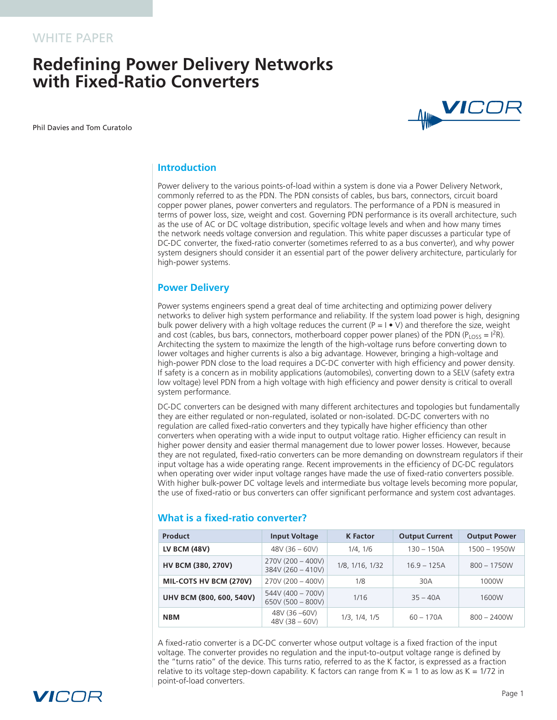# **Redefining Power Delivery Networks with Fixed‑Ratio Converters**

Phil Davies and Tom Curatolo



## **Introduction**

Power delivery to the various points-of-load within a system is done via a Power Delivery Network, commonly referred to as the PDN. The PDN consists of cables, bus bars, connectors, circuit board copper power planes, power converters and regulators. The performance of a PDN is measured in terms of power loss, size, weight and cost. Governing PDN performance is its overall architecture, such as the use of AC or DC voltage distribution, specific voltage levels and when and how many times the network needs voltage conversion and regulation. This white paper discusses a particular type of DC-DC converter, the fixed-ratio converter (sometimes referred to as a bus converter), and why power system designers should consider it an essential part of the power delivery architecture, particularly for high-power systems.

#### **Power Delivery**

Power systems engineers spend a great deal of time architecting and optimizing power delivery networks to deliver high system performance and reliability. If the system load power is high, designing bulk power delivery with a high voltage reduces the current ( $P = I \bullet V$ ) and therefore the size, weight and cost (cables, bus bars, connectors, motherboard copper power planes) of the PDN (P<sub>LOSS</sub> = I<sup>2</sup>R). Architecting the system to maximize the length of the high-voltage runs before converting down to lower voltages and higher currents is also a big advantage. However, bringing a high-voltage and high-power PDN close to the load requires a DC-DC converter with high efficiency and power density. If safety is a concern as in mobility applications (automobiles), converting down to a SELV (safety extra low voltage) level PDN from a high voltage with high efficiency and power density is critical to overall system performance.

DC-DC converters can be designed with many different architectures and topologies but fundamentally they are either regulated or non-regulated, isolated or non-isolated. DC‑DC converters with no regulation are called fixed‑ratio converters and they typically have higher efficiency than other converters when operating with a wide input to output voltage ratio. Higher efficiency can result in higher power density and easier thermal management due to lower power losses. However, because they are not regulated, fixed‑ratio converters can be more demanding on downstream regulators if their input voltage has a wide operating range. Recent improvements in the efficiency of DC‑DC regulators when operating over wider input voltage ranges have made the use of fixed-ratio converters possible. With higher bulk-power DC voltage levels and intermediate bus voltage levels becoming more popular, the use of fixed-ratio or bus converters can offer significant performance and system cost advantages.

| <b>Product</b>           | <b>Input Voltage</b>                       | <b>K</b> Factor | <b>Output Current</b> | <b>Output Power</b> |
|--------------------------|--------------------------------------------|-----------------|-----------------------|---------------------|
| <b>LV BCM (48V)</b>      | $48V (36 - 60V)$                           | 1/4.1/6         | $130 - 150A$          | $1500 - 1950W$      |
| HV BCM (380, 270V)       | $270V (200 - 400V)$<br>384V (260 - 410V)   | 1/8, 1/16, 1/32 | $16.9 - 125A$         | $800 - 1750W$       |
| MIL-COTS HV BCM (270V)   | $270V (200 - 400V)$                        | 1/8             | 30A                   | 1000W               |
| UHV BCM (800, 600, 540V) | $544V (400 - 700V)$<br>$650V (500 - 800V)$ | 1/16            | $35 - 40A$            | 1600W               |
| <b>NBM</b>               | 48V (36 -60V)<br>$48V (38 - 60V)$          | 1/3, 1/4, 1/5   | $60 - 170A$           | $800 - 2400W$       |

#### **What is a fixed‑ratio converter?**

A fixed-ratio converter is a DC-DC converter whose output voltage is a fixed fraction of the input voltage. The converter provides no regulation and the input-to-output voltage range is defined by the "turns ratio" of the device. This turns ratio, referred to as the K factor, is expressed as a fraction relative to its voltage step-down capability. K factors can range from  $K = 1$  to as low as  $K = 1/72$  in point‑of‑load converters.

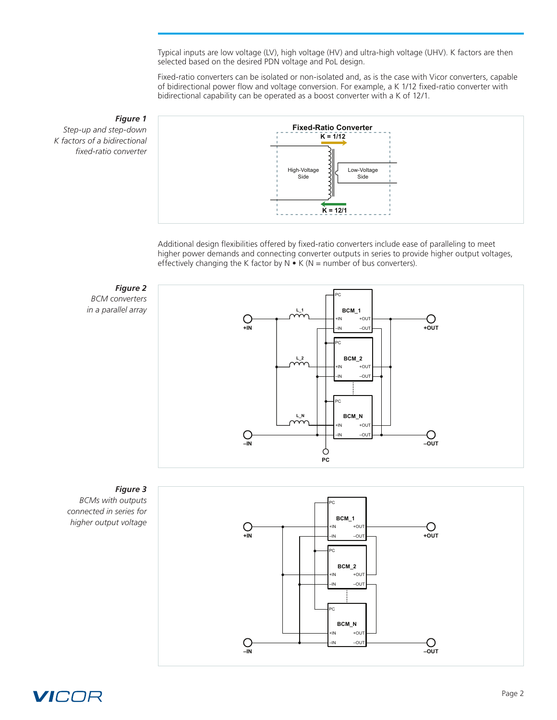Typical inputs are low voltage (LV), high voltage (HV) and ultra-high voltage (UHV). K factors are then selected based on the desired PDN voltage and PoL design.

Fixed-ratio converters can be isolated or non-isolated and, as is the case with Vicor converters, capable of bidirectional power flow and voltage conversion. For example, a K 1/12 fixed-ratio converter with bidirectional capability can be operated as a boost converter with a K of 12/1.

## *Figure 1*

*Step‑up and step‑down K factors of a bidirectional fixed‑ratio converter*



Additional design flexibilities offered by fixed‑ratio converters include ease of paralleling to meet higher power demands and connecting converter outputs in series to provide higher output voltages, effectively changing the K factor by  $N \cdot K$  (N = number of bus converters).

#### *Figure 2 BCM converters*

*in a parallel array*





## *Figure 3*

*BCMs with outputs connected in series for higher output voltage*

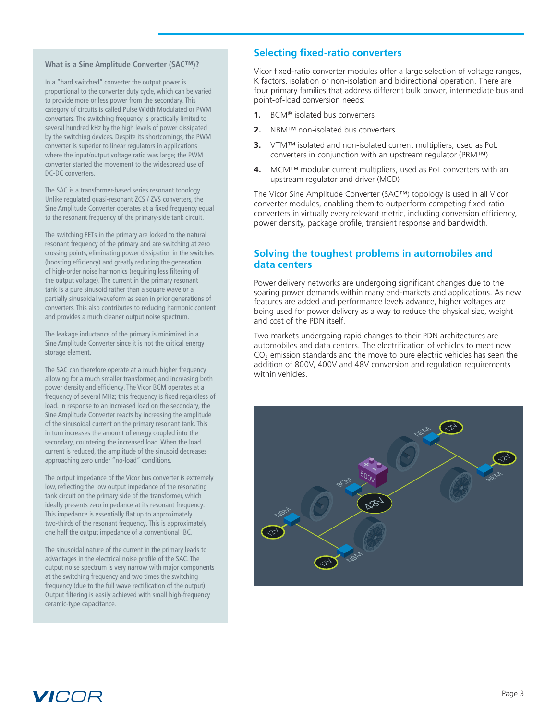#### **What is a Sine Amplitude Converter (SAC™)?**

In a "hard switched" converter the output power is proportional to the converter duty cycle, which can be varied to provide more or less power from the secondary. This category of circuits is called Pulse Width Modulated or PWM converters. The switching frequency is practically limited to several hundred kHz by the high levels of power dissipated by the switching devices. Despite its shortcomings, the PWM converter is superior to linear regulators in applications where the input/output voltage ratio was large; the PWM converter started the movement to the widespread use of DC-DC converters.

The SAC is a transformer-based series resonant topology. Unlike regulated quasi‑resonant ZCS / ZVS converters, the Sine Amplitude Converter operates at a fixed frequency equal to the resonant frequency of the primary‑side tank circuit.

The switching FETs in the primary are locked to the natural resonant frequency of the primary and are switching at zero crossing points, eliminating power dissipation in the switches (boosting efficiency) and greatly reducing the generation of high-order noise harmonics (requiring less filtering of the output voltage). The current in the primary resonant tank is a pure sinusoid rather than a square wave or a partially sinusoidal waveform as seen in prior generations of converters. This also contributes to reducing harmonic content and provides a much cleaner output noise spectrum.

The leakage inductance of the primary is minimized in a Sine Amplitude Converter since it is not the critical energy storage element.

The SAC can therefore operate at a much higher frequency allowing for a much smaller transformer, and increasing both power density and efficiency. The Vicor BCM operates at a frequency of several MHz; this frequency is fixed regardless of load. In response to an increased load on the secondary, the Sine Amplitude Converter reacts by increasing the amplitude of the sinusoidal current on the primary resonant tank. This in turn increases the amount of energy coupled into the secondary, countering the increased load. When the load current is reduced, the amplitude of the sinusoid decreases approaching zero under "no-load" conditions.

The output impedance of the Vicor bus converter is extremely low, reflecting the low output impedance of the resonating tank circuit on the primary side of the transformer, which ideally presents zero impedance at its resonant frequency. This impedance is essentially flat up to approximately two-thirds of the resonant frequency. This is approximately one half the output impedance of a conventional IBC.

The sinusoidal nature of the current in the primary leads to advantages in the electrical noise profile of the SAC. The output noise spectrum is very narrow with major components at the switching frequency and two times the switching frequency (due to the full wave rectification of the output). Output filtering is easily achieved with small high-frequency ceramic‑type capacitance.

## **Selecting fixed‑ratio converters**

Vicor fixed-ratio converter modules offer a large selection of voltage ranges, K factors, isolation or non-isolation and bidirectional operation. There are four primary families that address different bulk power, intermediate bus and point-of-load conversion needs:

- **1.** BCM® isolated bus converters
- **2.** NBM™ non‑isolated bus converters
- **3.** ∨TM™ isolated and non-isolated current multipliers, used as PoL converters in conjunction with an upstream regulator (PRM™)
- **4.** MCM™ modular current multipliers, used as PoL converters with an upstream regulator and driver (MCD)

The Vicor Sine Amplitude Converter (SAC™) topology is used in all Vicor converter modules, enabling them to outperform competing fixed-ratio converters in virtually every relevant metric, including conversion efficiency, power density, package profile, transient response and bandwidth.

## **Solving the toughest problems in automobiles and data centers**

Power delivery networks are undergoing significant changes due to the soaring power demands within many end-markets and applications. As new features are added and performance levels advance, higher voltages are being used for power delivery as a way to reduce the physical size, weight and cost of the PDN itself.

Two markets undergoing rapid changes to their PDN architectures are automobiles and data centers. The electrification of vehicles to meet new  $CO<sub>2</sub>$  emission standards and the move to pure electric vehicles has seen the addition of 800V, 400V and 48V conversion and regulation requirements within vehicles.



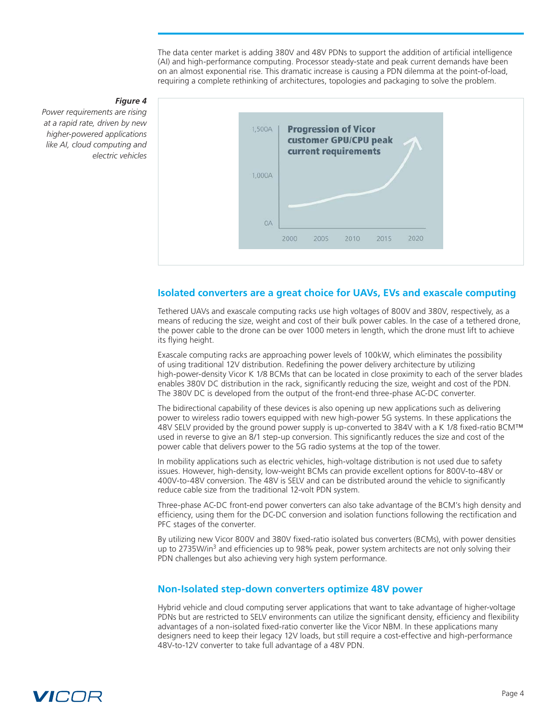The data center market is adding 380V and 48V PDNs to support the addition of artificial intelligence (AI) and high-performance computing. Processor steady-state and peak current demands have been on an almost exponential rise. This dramatic increase is causing a PDN dilemma at the point-of-load, requiring a complete rethinking of architectures, topologies and packaging to solve the problem.



#### *Figure 4*

*Power requirements are rising at a rapid rate, driven by new higher‑powered applications like AI, cloud computing and electric vehicles*

#### **Isolated converters are a great choice for UAVs, EVs and exascale computing**

Tethered UAVs and exascale computing racks use high voltages of 800V and 380V, respectively, as a means of reducing the size, weight and cost of their bulk power cables. In the case of a tethered drone, the power cable to the drone can be over 1000 meters in length, which the drone must lift to achieve its flying height.

Exascale computing racks are approaching power levels of 100kW, which eliminates the possibility of using traditional 12V distribution. Redefining the power delivery architecture by utilizing high-power-density Vicor K 1/8 BCMs that can be located in close proximity to each of the server blades enables 380V DC distribution in the rack, significantly reducing the size, weight and cost of the PDN. The 380V DC is developed from the output of the front-end three-phase AC-DC converter.

The bidirectional capability of these devices is also opening up new applications such as delivering power to wireless radio towers equipped with new high-power 5G systems. In these applications the 48V SELV provided by the ground power supply is up-converted to 384V with a K 1/8 fixed-ratio BCM™ used in reverse to give an 8/1 step-up conversion. This significantly reduces the size and cost of the power cable that delivers power to the 5G radio systems at the top of the tower.

In mobility applications such as electric vehicles, high-voltage distribution is not used due to safety issues. However, high-density, low-weight BCMs can provide excellent options for 800V-to-48V or 400V-to-48V conversion. The 48V is SELV and can be distributed around the vehicle to significantly reduce cable size from the traditional 12‑volt PDN system.

Three-phase AC-DC front-end power converters can also take advantage of the BCM's high density and efficiency, using them for the DC‑DC conversion and isolation functions following the rectification and PFC stages of the converter.

By utilizing new Vicor 800V and 380V fixed‑ratio isolated bus converters (BCMs), with power densities up to 2735W/in<sup>3</sup> and efficiencies up to 98% peak, power system architects are not only solving their PDN challenges but also achieving very high system performance.

#### **Non‑Isolated step‑down converters optimize 48V power**

Hybrid vehicle and cloud computing server applications that want to take advantage of higher‑voltage PDNs but are restricted to SELV environments can utilize the significant density, efficiency and flexibility advantages of a non-isolated fixed-ratio converter like the Vicor NBM. In these applications many designers need to keep their legacy 12V loads, but still require a cost-effective and high-performance 48V-to-12V converter to take full advantage of a 48V PDN.